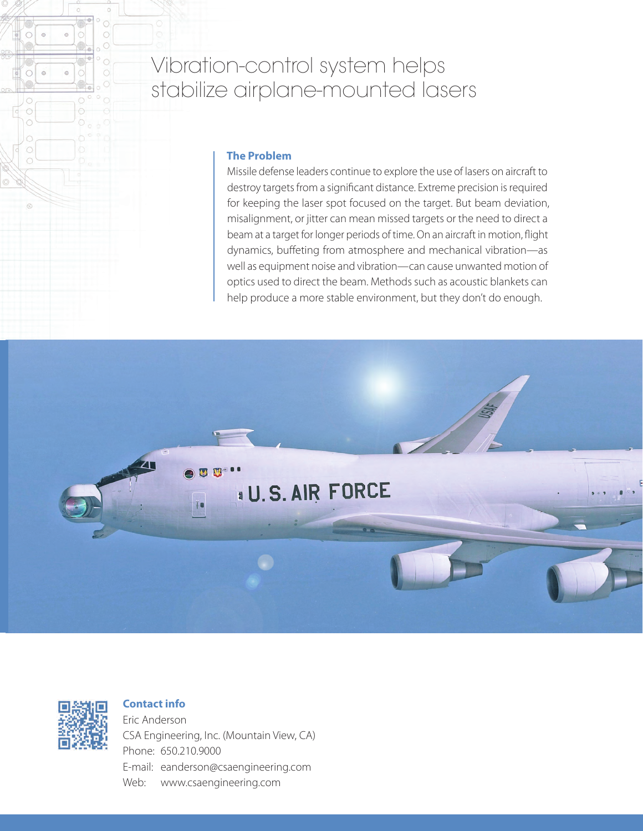# Vibration-control system helps stabilize airplane-mounted lasers

### **The Problem**

Missile defense leaders continue to explore the use of lasers on aircraft to destroy targets from a significant distance. Extreme precision is required for keeping the laser spot focused on the target. But beam deviation, misalignment, or jitter can mean missed targets or the need to direct a beam at a target for longer periods of time. On an aircraft in motion, flight dynamics, buffeting from atmosphere and mechanical vibration—as well as equipment noise and vibration—can cause unwanted motion of optics used to direct the beam. Methods such as acoustic blankets can help produce a more stable environment, but they don't do enough.





 $_{\tiny \odot}$ 

 $\odot$  $\circ$ 

 $\bigcirc$ 

 $\circ$ 

## **Contact info**

Eric Anderson CSA Engineering, Inc. (Mountain View, CA) Phone: 650.210.9000 E-mail: eanderson@csaengineering.com Web: www.csaengineering.com